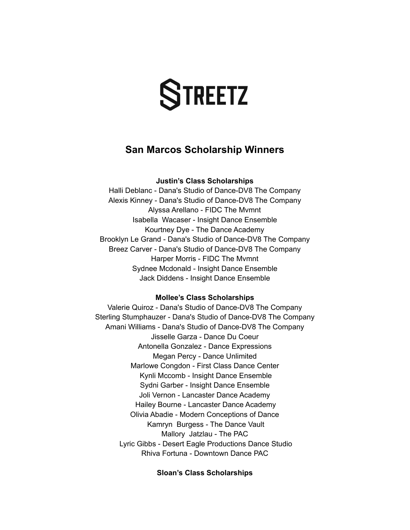# **TREETZ**

# **San Marcos Scholarship Winners**

# **Justin's Class Scholarships**

Halli Deblanc - Dana's Studio of Dance-DV8 The Company Alexis Kinney - Dana's Studio of Dance-DV8 The Company Alyssa Arellano - FIDC The Mvmnt Isabella Wacaser - Insight Dance Ensemble Kourtney Dye - The Dance Academy Brooklyn Le Grand - Dana's Studio of Dance-DV8 The Company Breez Carver - Dana's Studio of Dance-DV8 The Company Harper Morris - FIDC The Mvmnt Sydnee Mcdonald - Insight Dance Ensemble Jack Diddens - Insight Dance Ensemble

#### **Mollee's Class Scholarships**

Valerie Quiroz - Dana's Studio of Dance-DV8 The Company Sterling Stumphauzer - Dana's Studio of Dance-DV8 The Company Amani Williams - Dana's Studio of Dance-DV8 The Company Jisselle Garza - Dance Du Coeur Antonella Gonzalez - Dance Expressions Megan Percy - Dance Unlimited Marlowe Congdon - First Class Dance Center Kynli Mccomb - Insight Dance Ensemble Sydni Garber - Insight Dance Ensemble Joli Vernon - Lancaster Dance Academy Hailey Bourne - Lancaster Dance Academy Olivia Abadie - Modern Conceptions of Dance Kamryn Burgess - The Dance Vault Mallory Jatzlau - The PAC Lyric Gibbs - Desert Eagle Productions Dance Studio Rhiva Fortuna - Downtown Dance PAC

#### **Sloan's Class Scholarships**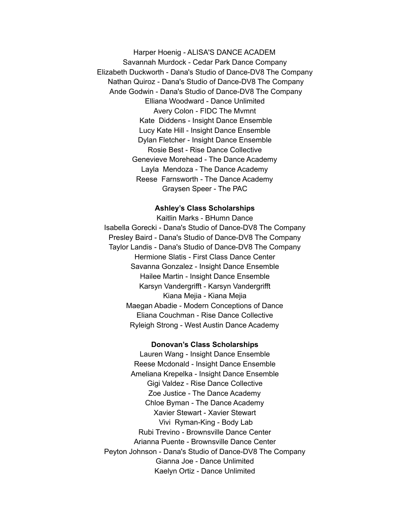Harper Hoenig - ALISA'S DANCE ACADEM Savannah Murdock - Cedar Park Dance Company Elizabeth Duckworth - Dana's Studio of Dance-DV8 The Company Nathan Quiroz - Dana's Studio of Dance-DV8 The Company Ande Godwin - Dana's Studio of Dance-DV8 The Company Elliana Woodward - Dance Unlimited Avery Colon - FIDC The Mvmnt Kate Diddens - Insight Dance Ensemble Lucy Kate Hill - Insight Dance Ensemble Dylan Fletcher - Insight Dance Ensemble Rosie Best - Rise Dance Collective Genevieve Morehead - The Dance Academy Layla Mendoza - The Dance Academy Reese Farnsworth - The Dance Academy Graysen Speer - The PAC

#### **Ashley's Class Scholarships**

Kaitlin Marks - BHumn Dance Isabella Gorecki - Dana's Studio of Dance-DV8 The Company Presley Baird - Dana's Studio of Dance-DV8 The Company Taylor Landis - Dana's Studio of Dance-DV8 The Company Hermione Slatis - First Class Dance Center Savanna Gonzalez - Insight Dance Ensemble Hailee Martin - Insight Dance Ensemble Karsyn Vandergrifft - Karsyn Vandergrifft Kiana Mejia - Kiana Mejia Maegan Abadie - Modern Conceptions of Dance Eliana Couchman - Rise Dance Collective Ryleigh Strong - West Austin Dance Academy

#### **Donovan's Class Scholarships**

Lauren Wang - Insight Dance Ensemble Reese Mcdonald - Insight Dance Ensemble Ameliana Krepelka - Insight Dance Ensemble Gigi Valdez - Rise Dance Collective Zoe Justice - The Dance Academy Chloe Byman - The Dance Academy Xavier Stewart - Xavier Stewart Vivi Ryman-King - Body Lab Rubi Trevino - Brownsville Dance Center Arianna Puente - Brownsville Dance Center Peyton Johnson - Dana's Studio of Dance-DV8 The Company Gianna Joe - Dance Unlimited Kaelyn Ortiz - Dance Unlimited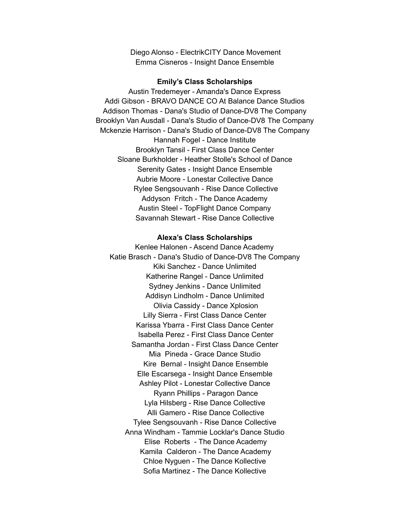Diego Alonso - ElectrikCITY Dance Movement Emma Cisneros - Insight Dance Ensemble

#### **Emily's Class Scholarships**

Austin Tredemeyer - Amanda's Dance Express Addi Gibson - BRAVO DANCE CO At Balance Dance Studios Addison Thomas - Dana's Studio of Dance-DV8 The Company Brooklyn Van Ausdall - Dana's Studio of Dance-DV8 The Company Mckenzie Harrison - Dana's Studio of Dance-DV8 The Company Hannah Fogel - Dance Institute Brooklyn Tansil - First Class Dance Center Sloane Burkholder - Heather Stolle's School of Dance Serenity Gates - Insight Dance Ensemble Aubrie Moore - Lonestar Collective Dance Rylee Sengsouvanh - Rise Dance Collective Addyson Fritch - The Dance Academy Austin Steel - TopFlight Dance Company Savannah Stewart - Rise Dance Collective

#### **Alexa's Class Scholarships**

Kenlee Halonen - Ascend Dance Academy Katie Brasch - Dana's Studio of Dance-DV8 The Company Kiki Sanchez - Dance Unlimited Katherine Rangel - Dance Unlimited Sydney Jenkins - Dance Unlimited Addisyn Lindholm - Dance Unlimited Olivia Cassidy - Dance Xplosion Lilly Sierra - First Class Dance Center Karissa Ybarra - First Class Dance Center Isabella Perez - First Class Dance Center Samantha Jordan - First Class Dance Center Mia Pineda - Grace Dance Studio Kire Bernal - Insight Dance Ensemble Elle Escarsega - Insight Dance Ensemble Ashley Pilot - Lonestar Collective Dance Ryann Phillips - Paragon Dance Lyla Hilsberg - Rise Dance Collective Alli Gamero - Rise Dance Collective Tylee Sengsouvanh - Rise Dance Collective Anna Windham - Tammie Locklar's Dance Studio Elise Roberts - The Dance Academy Kamila Calderon - The Dance Academy Chloe Nyguen - The Dance Kollective Sofia Martinez - The Dance Kollective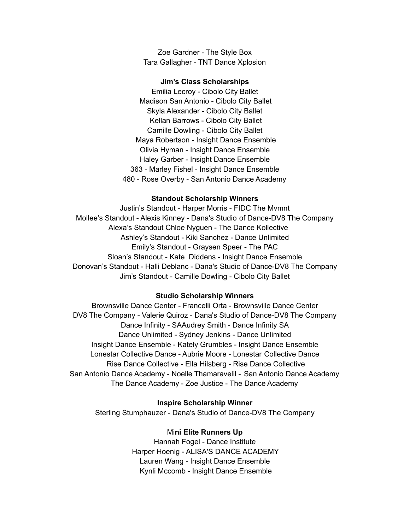Zoe Gardner - The Style Box Tara Gallagher - TNT Dance Xplosion

#### **Jim's Class Scholarships**

Emilia Lecroy - Cibolo City Ballet Madison San Antonio - Cibolo City Ballet Skyla Alexander - Cibolo City Ballet Kellan Barrows - Cibolo City Ballet Camille Dowling - Cibolo City Ballet Maya Robertson - Insight Dance Ensemble Olivia Hyman - Insight Dance Ensemble Haley Garber - Insight Dance Ensemble 363 - Marley Fishel - Insight Dance Ensemble 480 - Rose Overby - San Antonio Dance Academy

#### **Standout Scholarship Winners**

Justin's Standout - Harper Morris - FIDC The Mvmnt Mollee's Standout - Alexis Kinney - Dana's Studio of Dance-DV8 The Company Alexa's Standout Chloe Nyguen - The Dance Kollective Ashley's Standout - Kiki Sanchez - Dance Unlimited Emily's Standout - Graysen Speer - The PAC Sloan's Standout - Kate Diddens - Insight Dance Ensemble Donovan's Standout - Halli Deblanc - Dana's Studio of Dance-DV8 The Company Jim's Standout - Camille Dowling - Cibolo City Ballet

#### **Studio Scholarship Winners**

Brownsville Dance Center - Francelli Orta - Brownsville Dance Center DV8 The Company - Valerie Quiroz - Dana's Studio of Dance-DV8 The Company Dance Infinity - SAAudrey Smith - Dance Infinity SA Dance Unlimited - Sydney Jenkins - Dance Unlimited Insight Dance Ensemble - Kately Grumbles - Insight Dance Ensemble Lonestar Collective Dance - Aubrie Moore - Lonestar Collective Dance Rise Dance Collective - Ella Hilsberg - Rise Dance Collective San Antonio Dance Academy - Noelle Thamaravelil - San Antonio Dance Academy The Dance Academy - Zoe Justice - The Dance Academy

#### **Inspire Scholarship Winner**

Sterling Stumphauzer - Dana's Studio of Dance-DV8 The Company

#### Mi**ni Elite Runners Up**

Hannah Fogel - Dance Institute Harper Hoenig - ALISA'S DANCE ACADEMY Lauren Wang - Insight Dance Ensemble Kynli Mccomb - Insight Dance Ensemble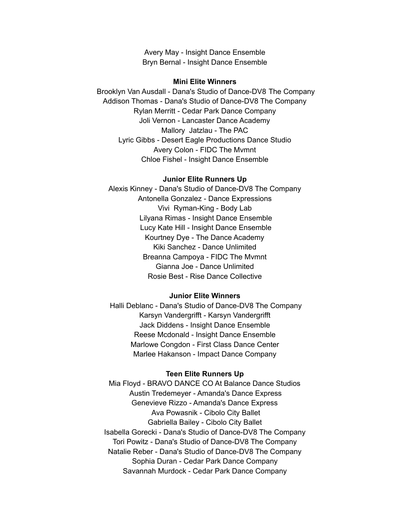Avery May - Insight Dance Ensemble Bryn Bernal - Insight Dance Ensemble

#### **Mini Elite Winners**

Brooklyn Van Ausdall - Dana's Studio of Dance-DV8 The Company Addison Thomas - Dana's Studio of Dance-DV8 The Company Rylan Merritt - Cedar Park Dance Company Joli Vernon - Lancaster Dance Academy Mallory Jatzlau - The PAC Lyric Gibbs - Desert Eagle Productions Dance Studio Avery Colon - FIDC The Mvmnt Chloe Fishel - Insight Dance Ensemble

#### **Junior Elite Runners Up**

Alexis Kinney - Dana's Studio of Dance-DV8 The Company Antonella Gonzalez - Dance Expressions Vivi Ryman-King - Body Lab Lilyana Rimas - Insight Dance Ensemble Lucy Kate Hill - Insight Dance Ensemble Kourtney Dye - The Dance Academy Kiki Sanchez - Dance Unlimited Breanna Campoya - FIDC The Mvmnt Gianna Joe - Dance Unlimited Rosie Best - Rise Dance Collective

#### **Junior Elite Winners**

Halli Deblanc - Dana's Studio of Dance-DV8 The Company Karsyn Vandergrifft - Karsyn Vandergrifft Jack Diddens - Insight Dance Ensemble Reese Mcdonald - Insight Dance Ensemble Marlowe Congdon - First Class Dance Center Marlee Hakanson - Impact Dance Company

# **Teen Elite Runners Up**

Mia Floyd - BRAVO DANCE CO At Balance Dance Studios Austin Tredemeyer - Amanda's Dance Express Genevieve Rizzo - Amanda's Dance Express Ava Powasnik - Cibolo City Ballet Gabriella Bailey - Cibolo City Ballet Isabella Gorecki - Dana's Studio of Dance-DV8 The Company Tori Powitz - Dana's Studio of Dance-DV8 The Company Natalie Reber - Dana's Studio of Dance-DV8 The Company Sophia Duran - Cedar Park Dance Company Savannah Murdock - Cedar Park Dance Company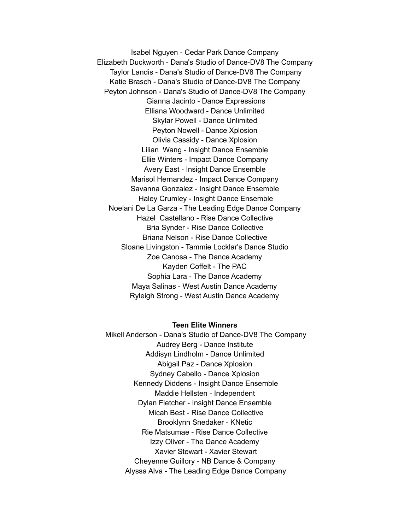Isabel Nguyen - Cedar Park Dance Company Elizabeth Duckworth - Dana's Studio of Dance-DV8 The Company Taylor Landis - Dana's Studio of Dance-DV8 The Company Katie Brasch - Dana's Studio of Dance-DV8 The Company Peyton Johnson - Dana's Studio of Dance-DV8 The Company Gianna Jacinto - Dance Expressions Elliana Woodward - Dance Unlimited Skylar Powell - Dance Unlimited Peyton Nowell - Dance Xplosion Olivia Cassidy - Dance Xplosion Lilian Wang - Insight Dance Ensemble Ellie Winters - Impact Dance Company Avery East - Insight Dance Ensemble Marisol Hernandez - Impact Dance Company Savanna Gonzalez - Insight Dance Ensemble Haley Crumley - Insight Dance Ensemble Noelani De La Garza - The Leading Edge Dance Company Hazel Castellano - Rise Dance Collective Bria Synder - Rise Dance Collective Briana Nelson - Rise Dance Collective Sloane Livingston - Tammie Locklar's Dance Studio Zoe Canosa - The Dance Academy Kayden Coffelt - The PAC Sophia Lara - The Dance Academy Maya Salinas - West Austin Dance Academy Ryleigh Strong - West Austin Dance Academy

#### **Teen Elite Winners**

Mikell Anderson - Dana's Studio of Dance-DV8 The Company Audrey Berg - Dance Institute Addisyn Lindholm - Dance Unlimited Abigail Paz - Dance Xplosion Sydney Cabello - Dance Xplosion Kennedy Diddens - Insight Dance Ensemble Maddie Hellsten - Independent Dylan Fletcher - Insight Dance Ensemble Micah Best - Rise Dance Collective Brooklynn Snedaker - KNetic Rie Matsumae - Rise Dance Collective Izzy Oliver - The Dance Academy Xavier Stewart - Xavier Stewart Cheyenne Guillory - NB Dance & Company Alyssa Alva - The Leading Edge Dance Company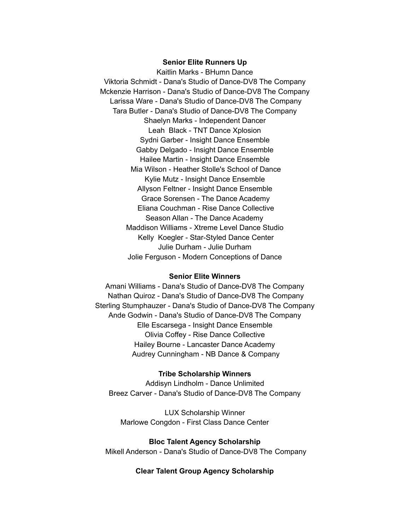#### **Senior Elite Runners Up**

Kaitlin Marks - BHumn Dance Viktoria Schmidt - Dana's Studio of Dance-DV8 The Company Mckenzie Harrison - Dana's Studio of Dance-DV8 The Company Larissa Ware - Dana's Studio of Dance-DV8 The Company Tara Butler - Dana's Studio of Dance-DV8 The Company Shaelyn Marks - Independent Dancer Leah Black - TNT Dance Xplosion Sydni Garber - Insight Dance Ensemble Gabby Delgado - Insight Dance Ensemble Hailee Martin - Insight Dance Ensemble Mia Wilson - Heather Stolle's School of Dance Kylie Mutz - Insight Dance Ensemble Allyson Feltner - Insight Dance Ensemble Grace Sorensen - The Dance Academy Eliana Couchman - Rise Dance Collective Season Allan - The Dance Academy Maddison Williams - Xtreme Level Dance Studio Kelly Koegler - Star-Styled Dance Center Julie Durham - Julie Durham Jolie Ferguson - Modern Conceptions of Dance

# **Senior Elite Winners**

Amani Williams - Dana's Studio of Dance-DV8 The Company Nathan Quiroz - Dana's Studio of Dance-DV8 The Company Sterling Stumphauzer - Dana's Studio of Dance-DV8 The Company Ande Godwin - Dana's Studio of Dance-DV8 The Company Elle Escarsega - Insight Dance Ensemble Olivia Coffey - Rise Dance Collective Hailey Bourne - Lancaster Dance Academy Audrey Cunningham - NB Dance & Company

#### **Tribe Scholarship Winners**

Addisyn Lindholm - Dance Unlimited Breez Carver - Dana's Studio of Dance-DV8 The Company

LUX Scholarship Winner Marlowe Congdon - First Class Dance Center

**Bloc Talent Agency Scholarship** Mikell Anderson - Dana's Studio of Dance-DV8 The Company

# **Clear Talent Group Agency Scholarship**